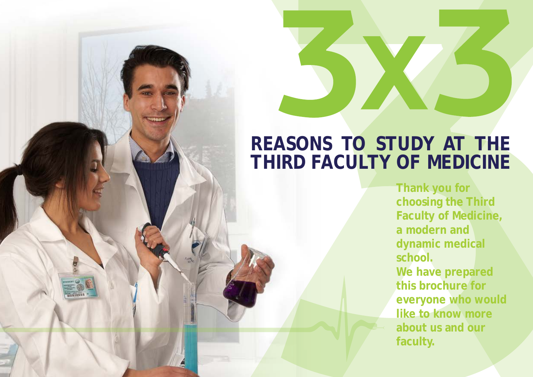# **REASONS TO STUDY AT THE THIRD FACULTY OF MEDICINE**

**Thank you for choosing the Third Faculty of Medicine, a modern and dynamic medical school. We have prepared this brochure for everyone who would like to know more about us and our faculty.**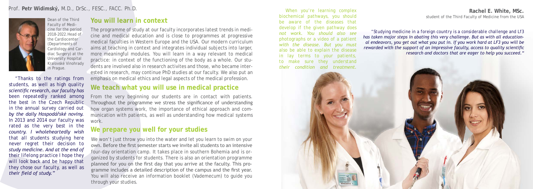# **You will learn in context**

# **We teach what you will use in medical practice**

The programme of study at our faculty incorporates latest trends in medicine and medical education and is close to programmes at progressive medical faculties in Western Europe and the USA. Our modern curriculum aims at teaching in context and integrates individual subjects into larger, more meaningful modules. You will learn in a way relevant to medical practice: in context of the functioning of the body as a whole. Our students are involved also in research activites and those, who became interested in research, may continue PhD studies at our faculty. We also put an emphasis on medical ethics and legal aspects of the medical profession.

From the very beginning our students are in contact with patients. Throughout the programme we stress the significance of understanding how organ systems work, the importance of ethical approach and communication with patients, as well as understanding how medical systems work.

We won't just throw you into the water and let you learn to swim on your own. Before the first semester starts we invite all students to an intensive four-day orientation camp. It takes place in southern Bohemia and is organized by students for students. There is also an orientation programme planned for you on the first day that you arrive at the faculty. This programme includes a detailed description of the campus and the first year. You will also receive an information booklet (Vademecum) to guide you through your studies.

*"Thanks to the ratings from students, as well as high quality scientific research, our faculty has been repeatedly ranked among the best in the Czech Republic in the annual survey carried out by the daily Hospodářské noviny. In 2013 and 2014 our faculty was rated as the very best in the country. I wholeheartedly wish that all students studying here never regret their decision to study medicine. And at the end of their lifelong practice I hope they will look back and be happy that they chose our faculty, as well as their field of study."*

Dean of the Third Faculty of Medicine for the period 2018-2022.Head of the Cardiocenter (Departments of Cardiology and Cardiac Surgery) at the University Hospital Kralovské Vinohrady in Prague.



# **We prepare you well for your studies**

*When you're learning complex biochemical pathways, you should be aware of the diseases that develop if the given pathway does not work. You should also see photographs or a video of a patient with the disease. But you must also be able to explain the disease in lay terms to your patients, to make sure they understand their condition and treatment.*

*"Studying medicine in a foreign country is a considerable challenge and Lf3 has taken major steps in abating this very challenge. But as with all educational endeavors, you get out what you put in. If you work hard at LF3 you will be rewarded with the support of an impressive faculty, access to quality scientific research and doctors that are eager to help you succeed."*

#### **Rachel E. White, MSc.** student of the Third Faculty of Medicine from the USA

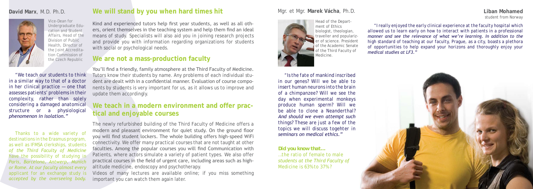Kind and experienced tutors help first year students, as well as all others, orient themselves in the teaching system and help them find an ideal means of study. Specialists will also aid you in joining research projects and provide you with information regarding organizations for students with social or psychological needs.

*"I really enjoyed the early clinical experience at the faculty hospital which allowed us to learn early on how to interact with patients in a professional manner and see the relevance of what we're learning. In addition to the high standard of teaching at our faculty, Prague, as a city, boasts a plethora of opportunities to help expand your horizons and thoroughly enjoy your medical studies at LF3."*

#### **Liban Mohamed** student from Norway



*Did you know that…*

*…the ratio of female to male students at the Third Faculty of Medicine is 63% to 37% ?*

*"Is the fate of mankind inscribed in our genes? Will we be able to insert human neurons into the brain of a chimpanzee? Will we see the day when experimental monkeys produce human sperm? Will we be able to clone a Neanderthal? And should we even attempt such things? These are just a few of the topics we will discuss togehter in seminars on medical ethics."*

### Mgr. et Mgr. **Marek Vácha**, Ph.D.



Head of the Department of Ethics biologist, theologian, traveller and popularizer of science. President of the Academic Senate of the Third Faculty of Medicine.

# **We will stand by you when hard times hit**

# **We teach in a modern environment and offer practical and enjoyable courses**

The newly refurbished building of the Third Faculty of Medicine offers a modern and pleasant environment for quiet study. On the ground floor you will find student lockers. The whole building offers high-speed WiFi connectivity. We offer many practical courses that are not taught at other faculties. Among the popular courses you will find Communication with Patients, where actors simulate a variety of patient types. We also offer practical courses in the field of urgent care, including areas such as highaltitude medicine, endoscopy and psychotherapy.

Videos of many lectures are available online; if you miss something important you can watch them again later.

*Thanks to a wide variety of destinations in the* Erasmus *program, as well as* IFMSA *clerkships, students of the Third Faculty of Medicine have the possibility of studying in Paris, Barcelona, Antwerp, Munich or Rome. At our faculty almost every applicant for an exchange study is accepted by the overseeing body.*

Vice-Dean for Undergraduate Education and Student Affairs, Head of the Division of Public Health, Director of the Joint Accreditation Commission of the Czech Republic

### **David Marx**, M.D. Ph.D.



*"We teach our students to think in a similar way to that of a doctor in her clinical practice — one that assesses patients' problems in their complexity, rather than solely considering a damaged anatomical structure or a physiological phenomenon in isolation."*

# **We are not a mass-production faculty**

You'll find a friendly, family atmosphere at the Third Faculty of Medicine. Tutors know their students by name. Any problems of each individual student are dealt with in a confidential manner. Evaluation of course components by students is very important for us, as it allows us to improve and update them accordingly.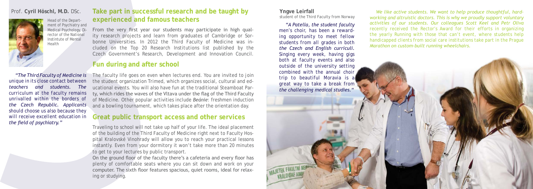# **Great public transport access and other services**

# Prof. Cyril Höschl, M.D. DSc. **Take part in successful research and be taught by Profession Profession and and the content of the produce thoughtful, hard- Profession and the produce of the students. We want to help pr experienced and famous teachers**

# **Fun during and after school**

*"A Patella, the student faculty men's choir, has been a rewarding opportunity to meet fellow students from all grades in both the Czech and English curriculi. Singing every week, having gigs both at faculty events and also outside of the university setting combined with the annual choir trip to beautiful Moravia is a great way to take a break from the challenging medical studies."*

**Yngve Leirfall** student of the Third Faculty from Norway

The faculty life goes on even when lectures end. You are invited to join the student organization *Trimed*, which organizes social, cultural and educational events. You will also have fun at the traditional Steamboat Party, which rides the waves of the Vltava under the flag of the Third Faculty of Medicine. Other popular activities include *Beánie*: freshmen induction and a bowling tournament, which takes place after the orientation day.

From the very first year our students may participate in high quality research projects and learn from graduates of Cambridge or Sorbonne Universities. In 2012 the Third Faculty of Medicine was included on the *Top 20 Research Institutions* list published by the Czech Government's Research, Development and Innovation Council.

Traveling to school will not take up half of your life. The ideal placement of the building of the Third Faculty of Medicine right next to Faculty Hospital Kralovské Vinohrady will allow you to reach your practical lessons instantly. Even from your dormitory it won't take more than 20 minutes to get to your lectures by public transport.

On the ground floor of the faculty there's a cafeteria and every floor has plenty of comfortable seats where you can sit down and work on your computer. The sixth floor features spacious, quiet rooms, ideal for relaxing or studying.

*"The Third Faculty of Medicine is unique in its close contact between teachers and students. The curriculum at the faculty remains unrivalled within the borders of the Czech Republic. Applicants should choose us also because they will receive excellent education in the field of psychiatry."*



Head of the Department of Psychiatry and Medical Psychology, Director of the National Instintute of Mental Health

*working and altruistic doctors. This is why we proudly support voluntary activities of our students. Our colleagues Scott Keel and Petr Oliva recently received the* Rector's Award *for their efforts in organizing the yearly* Running with those that can't *event, where students help handicapped clients from social care institutions take part in the Prague Marathon on custom-built running wheelchairs.*